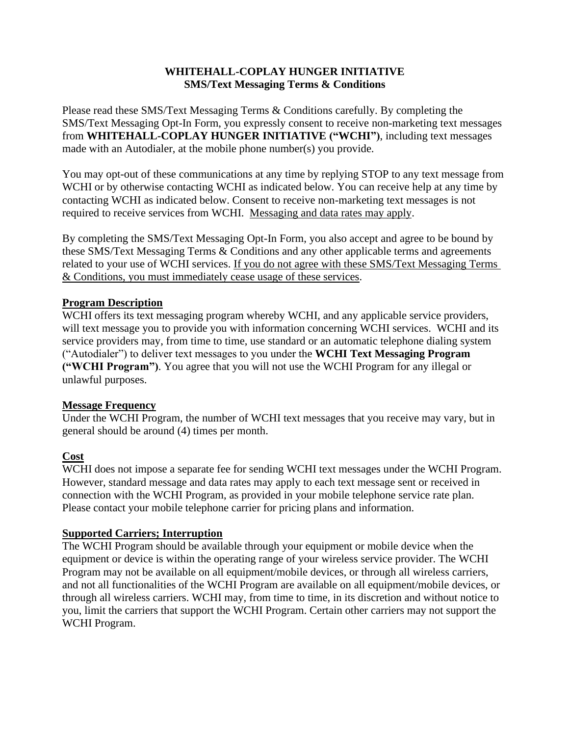# **WHITEHALL-COPLAY HUNGER INITIATIVE SMS/Text Messaging Terms & Conditions**

Please read these SMS/Text Messaging Terms & Conditions carefully. By completing the SMS/Text Messaging Opt-In Form, you expressly consent to receive non-marketing text messages from **WHITEHALL-COPLAY HUNGER INITIATIVE ("WCHI")**, including text messages made with an Autodialer, at the mobile phone number(s) you provide.

You may opt-out of these communications at any time by replying STOP to any text message from WCHI or by otherwise contacting WCHI as indicated below. You can receive help at any time by contacting WCHI as indicated below. Consent to receive non-marketing text messages is not required to receive services from WCHI. Messaging and data rates may apply.

By completing the SMS/Text Messaging Opt-In Form, you also accept and agree to be bound by these SMS/Text Messaging Terms & Conditions and any other applicable terms and agreements related to your use of WCHI services. If you do not agree with these SMS/Text Messaging Terms & Conditions, you must immediately cease usage of these services.

## **Program Description**

WCHI offers its text messaging program whereby WCHI, and any applicable service providers, will text message you to provide you with information concerning WCHI services. WCHI and its service providers may, from time to time, use standard or an automatic telephone dialing system ("Autodialer") to deliver text messages to you under the **WCHI Text Messaging Program ("WCHI Program")**. You agree that you will not use the WCHI Program for any illegal or unlawful purposes.

#### **Message Frequency**

Under the WCHI Program, the number of WCHI text messages that you receive may vary, but in general should be around (4) times per month.

# **Cost**

WCHI does not impose a separate fee for sending WCHI text messages under the WCHI Program. However, standard message and data rates may apply to each text message sent or received in connection with the WCHI Program, as provided in your mobile telephone service rate plan. Please contact your mobile telephone carrier for pricing plans and information.

# **Supported Carriers; Interruption**

The WCHI Program should be available through your equipment or mobile device when the equipment or device is within the operating range of your wireless service provider. The WCHI Program may not be available on all equipment/mobile devices, or through all wireless carriers, and not all functionalities of the WCHI Program are available on all equipment/mobile devices, or through all wireless carriers. WCHI may, from time to time, in its discretion and without notice to you, limit the carriers that support the WCHI Program. Certain other carriers may not support the WCHI Program.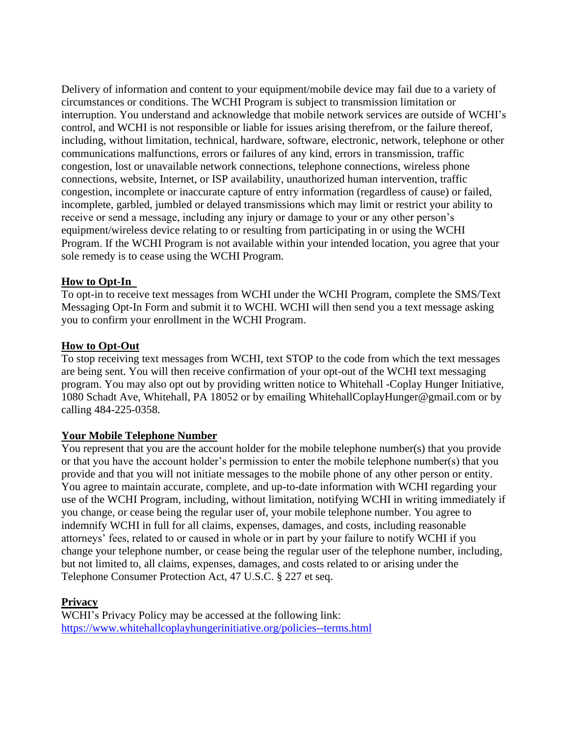Delivery of information and content to your equipment/mobile device may fail due to a variety of circumstances or conditions. The WCHI Program is subject to transmission limitation or interruption. You understand and acknowledge that mobile network services are outside of WCHI's control, and WCHI is not responsible or liable for issues arising therefrom, or the failure thereof, including, without limitation, technical, hardware, software, electronic, network, telephone or other communications malfunctions, errors or failures of any kind, errors in transmission, traffic congestion, lost or unavailable network connections, telephone connections, wireless phone connections, website, Internet, or ISP availability, unauthorized human intervention, traffic congestion, incomplete or inaccurate capture of entry information (regardless of cause) or failed, incomplete, garbled, jumbled or delayed transmissions which may limit or restrict your ability to receive or send a message, including any injury or damage to your or any other person's equipment/wireless device relating to or resulting from participating in or using the WCHI Program. If the WCHI Program is not available within your intended location, you agree that your sole remedy is to cease using the WCHI Program.

## **How to Opt-In**

To opt-in to receive text messages from WCHI under the WCHI Program, complete the SMS/Text Messaging Opt-In Form and submit it to WCHI. WCHI will then send you a text message asking you to confirm your enrollment in the WCHI Program.

#### **How to Opt-Out**

To stop receiving text messages from WCHI, text STOP to the code from which the text messages are being sent. You will then receive confirmation of your opt-out of the WCHI text messaging program. You may also opt out by providing written notice to Whitehall -Coplay Hunger Initiative, 1080 Schadt Ave, Whitehall, PA 18052 or by emailing WhitehallCoplayHunger@gmail.com or by calling 484-225-0358.

#### **Your Mobile Telephone Number**

You represent that you are the account holder for the mobile telephone number(s) that you provide or that you have the account holder's permission to enter the mobile telephone number(s) that you provide and that you will not initiate messages to the mobile phone of any other person or entity. You agree to maintain accurate, complete, and up-to-date information with WCHI regarding your use of the WCHI Program, including, without limitation, notifying WCHI in writing immediately if you change, or cease being the regular user of, your mobile telephone number. You agree to indemnify WCHI in full for all claims, expenses, damages, and costs, including reasonable attorneys' fees, related to or caused in whole or in part by your failure to notify WCHI if you change your telephone number, or cease being the regular user of the telephone number, including, but not limited to, all claims, expenses, damages, and costs related to or arising under the Telephone Consumer Protection Act, 47 U.S.C. § 227 et seq.

# **Privacy**

WCHI's Privacy Policy may be accessed at the following link: <https://www.whitehallcoplayhungerinitiative.org/policies--terms.html>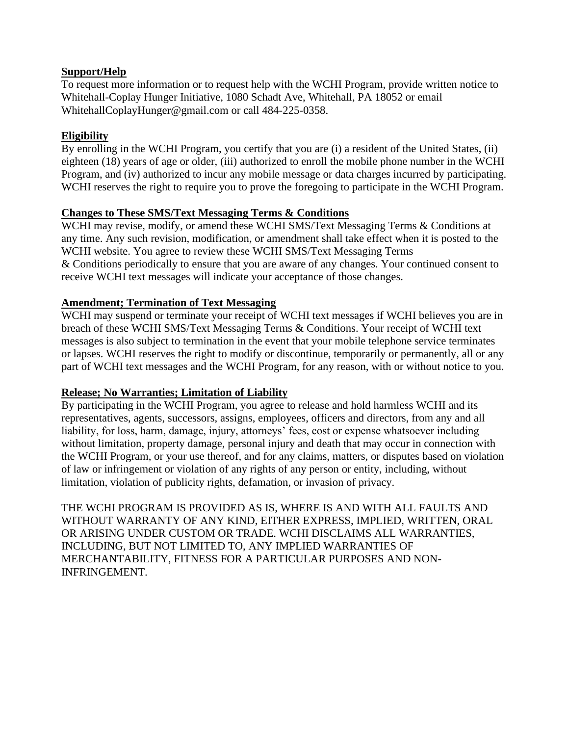## **Support/Help**

To request more information or to request help with the WCHI Program, provide written notice to Whitehall-Coplay Hunger Initiative, 1080 Schadt Ave, Whitehall, PA 18052 or email WhitehallCoplayHunger@gmail.com or call 484-225-0358.

# **Eligibility**

By enrolling in the WCHI Program, you certify that you are (i) a resident of the United States, (ii) eighteen (18) years of age or older, (iii) authorized to enroll the mobile phone number in the WCHI Program, and (iv) authorized to incur any mobile message or data charges incurred by participating. WCHI reserves the right to require you to prove the foregoing to participate in the WCHI Program.

# **Changes to These SMS/Text Messaging Terms & Conditions**

WCHI may revise, modify, or amend these WCHI SMS/Text Messaging Terms & Conditions at any time. Any such revision, modification, or amendment shall take effect when it is posted to the WCHI website. You agree to review these WCHI SMS/Text Messaging Terms & Conditions periodically to ensure that you are aware of any changes. Your continued consent to receive WCHI text messages will indicate your acceptance of those changes.

# **Amendment; Termination of Text Messaging**

WCHI may suspend or terminate your receipt of WCHI text messages if WCHI believes you are in breach of these WCHI SMS/Text Messaging Terms & Conditions. Your receipt of WCHI text messages is also subject to termination in the event that your mobile telephone service terminates or lapses. WCHI reserves the right to modify or discontinue, temporarily or permanently, all or any part of WCHI text messages and the WCHI Program, for any reason, with or without notice to you.

# **Release; No Warranties; Limitation of Liability**

By participating in the WCHI Program, you agree to release and hold harmless WCHI and its representatives, agents, successors, assigns, employees, officers and directors, from any and all liability, for loss, harm, damage, injury, attorneys' fees, cost or expense whatsoever including without limitation, property damage, personal injury and death that may occur in connection with the WCHI Program, or your use thereof, and for any claims, matters, or disputes based on violation of law or infringement or violation of any rights of any person or entity, including, without limitation, violation of publicity rights, defamation, or invasion of privacy.

THE WCHI PROGRAM IS PROVIDED AS IS, WHERE IS AND WITH ALL FAULTS AND WITHOUT WARRANTY OF ANY KIND, EITHER EXPRESS, IMPLIED, WRITTEN, ORAL OR ARISING UNDER CUSTOM OR TRADE. WCHI DISCLAIMS ALL WARRANTIES, INCLUDING, BUT NOT LIMITED TO, ANY IMPLIED WARRANTIES OF MERCHANTABILITY, FITNESS FOR A PARTICULAR PURPOSES AND NON-INFRINGEMENT.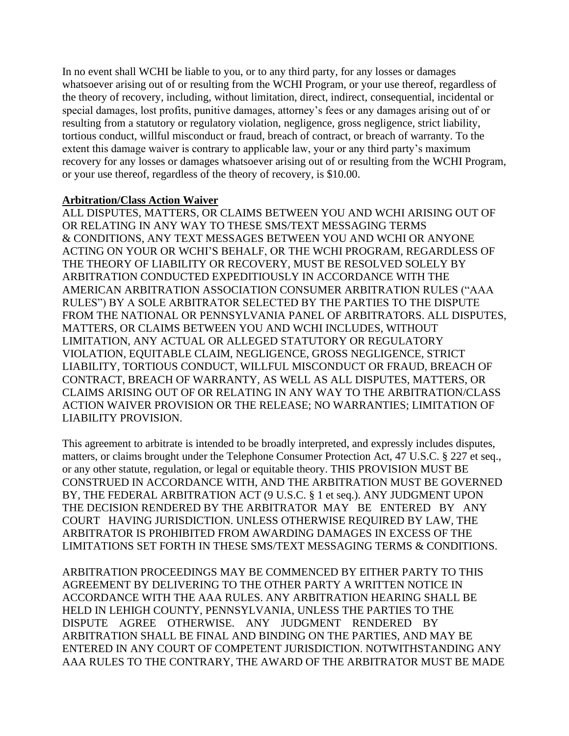In no event shall WCHI be liable to you, or to any third party, for any losses or damages whatsoever arising out of or resulting from the WCHI Program, or your use thereof, regardless of the theory of recovery, including, without limitation, direct, indirect, consequential, incidental or special damages, lost profits, punitive damages, attorney's fees or any damages arising out of or resulting from a statutory or regulatory violation, negligence, gross negligence, strict liability, tortious conduct, willful misconduct or fraud, breach of contract, or breach of warranty. To the extent this damage waiver is contrary to applicable law, your or any third party's maximum recovery for any losses or damages whatsoever arising out of or resulting from the WCHI Program, or your use thereof, regardless of the theory of recovery, is \$10.00.

### **Arbitration/Class Action Waiver**

ALL DISPUTES, MATTERS, OR CLAIMS BETWEEN YOU AND WCHI ARISING OUT OF OR RELATING IN ANY WAY TO THESE SMS/TEXT MESSAGING TERMS & CONDITIONS, ANY TEXT MESSAGES BETWEEN YOU AND WCHI OR ANYONE ACTING ON YOUR OR WCHI'S BEHALF, OR THE WCHI PROGRAM, REGARDLESS OF THE THEORY OF LIABILITY OR RECOVERY, MUST BE RESOLVED SOLELY BY ARBITRATION CONDUCTED EXPEDITIOUSLY IN ACCORDANCE WITH THE AMERICAN ARBITRATION ASSOCIATION CONSUMER ARBITRATION RULES ("AAA RULES") BY A SOLE ARBITRATOR SELECTED BY THE PARTIES TO THE DISPUTE FROM THE NATIONAL OR PENNSYLVANIA PANEL OF ARBITRATORS. ALL DISPUTES, MATTERS, OR CLAIMS BETWEEN YOU AND WCHI INCLUDES, WITHOUT LIMITATION, ANY ACTUAL OR ALLEGED STATUTORY OR REGULATORY VIOLATION, EQUITABLE CLAIM, NEGLIGENCE, GROSS NEGLIGENCE, STRICT LIABILITY, TORTIOUS CONDUCT, WILLFUL MISCONDUCT OR FRAUD, BREACH OF CONTRACT, BREACH OF WARRANTY, AS WELL AS ALL DISPUTES, MATTERS, OR CLAIMS ARISING OUT OF OR RELATING IN ANY WAY TO THE ARBITRATION/CLASS ACTION WAIVER PROVISION OR THE RELEASE; NO WARRANTIES; LIMITATION OF LIABILITY PROVISION.

This agreement to arbitrate is intended to be broadly interpreted, and expressly includes disputes, matters, or claims brought under the Telephone Consumer Protection Act, 47 U.S.C. § 227 et seq., or any other statute, regulation, or legal or equitable theory. THIS PROVISION MUST BE CONSTRUED IN ACCORDANCE WITH, AND THE ARBITRATION MUST BE GOVERNED BY, THE FEDERAL ARBITRATION ACT (9 U.S.C. § 1 et seq.). ANY JUDGMENT UPON THE DECISION RENDERED BY THE ARBITRATOR MAY BE ENTERED BY ANY COURT HAVING JURISDICTION. UNLESS OTHERWISE REQUIRED BY LAW, THE ARBITRATOR IS PROHIBITED FROM AWARDING DAMAGES IN EXCESS OF THE LIMITATIONS SET FORTH IN THESE SMS/TEXT MESSAGING TERMS & CONDITIONS.

ARBITRATION PROCEEDINGS MAY BE COMMENCED BY EITHER PARTY TO THIS AGREEMENT BY DELIVERING TO THE OTHER PARTY A WRITTEN NOTICE IN ACCORDANCE WITH THE AAA RULES. ANY ARBITRATION HEARING SHALL BE HELD IN LEHIGH COUNTY, PENNSYLVANIA, UNLESS THE PARTIES TO THE DISPUTE AGREE OTHERWISE. ANY JUDGMENT RENDERED BY ARBITRATION SHALL BE FINAL AND BINDING ON THE PARTIES, AND MAY BE ENTERED IN ANY COURT OF COMPETENT JURISDICTION. NOTWITHSTANDING ANY AAA RULES TO THE CONTRARY, THE AWARD OF THE ARBITRATOR MUST BE MADE